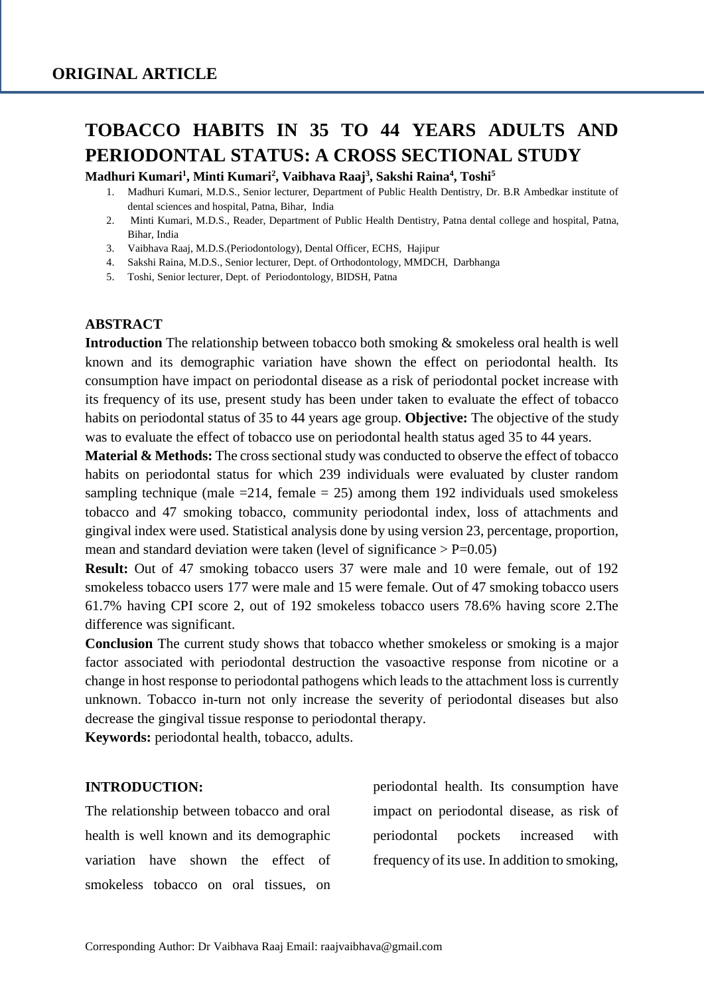# **TOBACCO HABITS IN 35 TO 44 YEARS ADULTS AND PERIODONTAL STATUS: A CROSS SECTIONAL STUDY**

**Madhuri Kumari<sup>1</sup> , Minti Kumari<sup>2</sup> , Vaibhava Raaj<sup>3</sup> , Sakshi Raina<sup>4</sup> , Toshi<sup>5</sup>**

- 1. Madhuri Kumari, M.D.S., Senior lecturer, Department of Public Health Dentistry, Dr. B.R Ambedkar institute of dental sciences and hospital, Patna, Bihar, India
- 2. Minti Kumari, M.D.S., Reader, Department of Public Health Dentistry, Patna dental college and hospital, Patna, Bihar, India
- 3. Vaibhava Raaj, M.D.S.(Periodontology), Dental Officer, ECHS, Hajipur
- 4. Sakshi Raina, M.D.S., Senior lecturer, Dept. of Orthodontology, MMDCH, Darbhanga
- 5. Toshi, Senior lecturer, Dept. of Periodontology, BIDSH, Patna

#### **ABSTRACT**

**Introduction** The relationship between tobacco both smoking & smokeless oral health is well known and its demographic variation have shown the effect on periodontal health. Its consumption have impact on periodontal disease as a risk of periodontal pocket increase with its frequency of its use, present study has been under taken to evaluate the effect of tobacco habits on periodontal status of 35 to 44 years age group. **Objective:** The objective of the study was to evaluate the effect of tobacco use on periodontal health status aged 35 to 44 years.

**Material & Methods:** The cross sectional study was conducted to observe the effect of tobacco habits on periodontal status for which 239 individuals were evaluated by cluster random sampling technique (male  $=214$ , female  $= 25$ ) among them 192 individuals used smokeless tobacco and 47 smoking tobacco, community periodontal index, loss of attachments and gingival index were used. Statistical analysis done by using version 23, percentage, proportion, mean and standard deviation were taken (level of significance  $> P=0.05$ )

**Result:** Out of 47 smoking tobacco users 37 were male and 10 were female, out of 192 smokeless tobacco users 177 were male and 15 were female. Out of 47 smoking tobacco users 61.7% having CPI score 2, out of 192 smokeless tobacco users 78.6% having score 2.The difference was significant.

**Conclusion** The current study shows that tobacco whether smokeless or smoking is a major factor associated with periodontal destruction the vasoactive response from nicotine or a change in host response to periodontal pathogens which leads to the attachment loss is currently unknown. Tobacco in-turn not only increase the severity of periodontal diseases but also decrease the gingival tissue response to periodontal therapy.

**Keywords:** periodontal health, tobacco, adults.

#### **INTRODUCTION:**

The relationship between tobacco and oral health is well known and its demographic variation have shown the effect of smokeless tobacco on oral tissues, on periodontal health. Its consumption have impact on periodontal disease, as risk of periodontal pockets increased with frequency of its use. In addition to smoking,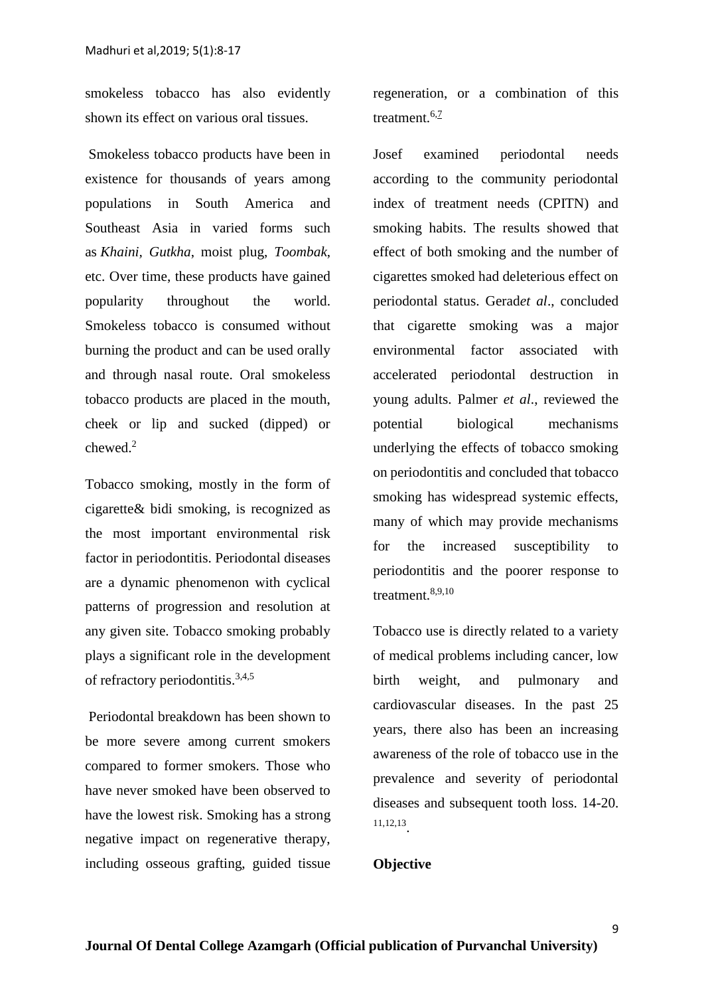smokeless tobacco has also evidently shown its effect on various oral tissues.

Smokeless tobacco products have been in existence for thousands of years among populations in South America and Southeast Asia in varied forms such as *Khaini, Gutkha*, moist plug, *Toombak*, etc. Over time, these products have gained popularity throughout the world. Smokeless tobacco is consumed without burning the product and can be used orally and through nasal route. Oral smokeless tobacco products are placed in the mouth, cheek or lip and sucked (dipped) or chewed.<sup>2</sup>

Tobacco smoking, mostly in the form of cigarette& bidi smoking, is recognized as the most important environmental risk factor in periodontitis. Periodontal diseases are a dynamic phenomenon with cyclical patterns of progression and resolution at any given site. Tobacco smoking probably plays a significant role in the development of refractory periodontitis.3,4,5

Periodontal breakdown has been shown to be more severe among current smokers compared to former smokers. Those who have never smoked have been observed to have the lowest risk. Smoking has a strong negative impact on regenerative therapy, including osseous grafting, guided tissue regeneration, or a combination of this treatment.  $6,7$ 

Josef examined periodontal needs according to the community periodontal index of treatment needs (CPITN) and smoking habits. The results showed that effect of both smoking and the number of cigarettes smoked had deleterious effect on periodontal status. Gerad*et al*., concluded that cigarette smoking was a major environmental factor associated with accelerated periodontal destruction in young adults. Palmer *et al*., reviewed the potential biological mechanisms underlying the effects of tobacco smoking on periodontitis and concluded that tobacco smoking has widespread systemic effects, many of which may provide mechanisms for the increased susceptibility to periodontitis and the poorer response to treatment.8,9,10

Tobacco use is directly related to a variety of medical problems including cancer, low birth weight, and pulmonary and cardiovascular diseases. In the past 25 years, there also has been an increasing awareness of the role of tobacco use in the prevalence and severity of periodontal diseases and subsequent tooth loss. 14-20. 11,12,13 .

#### **Objective**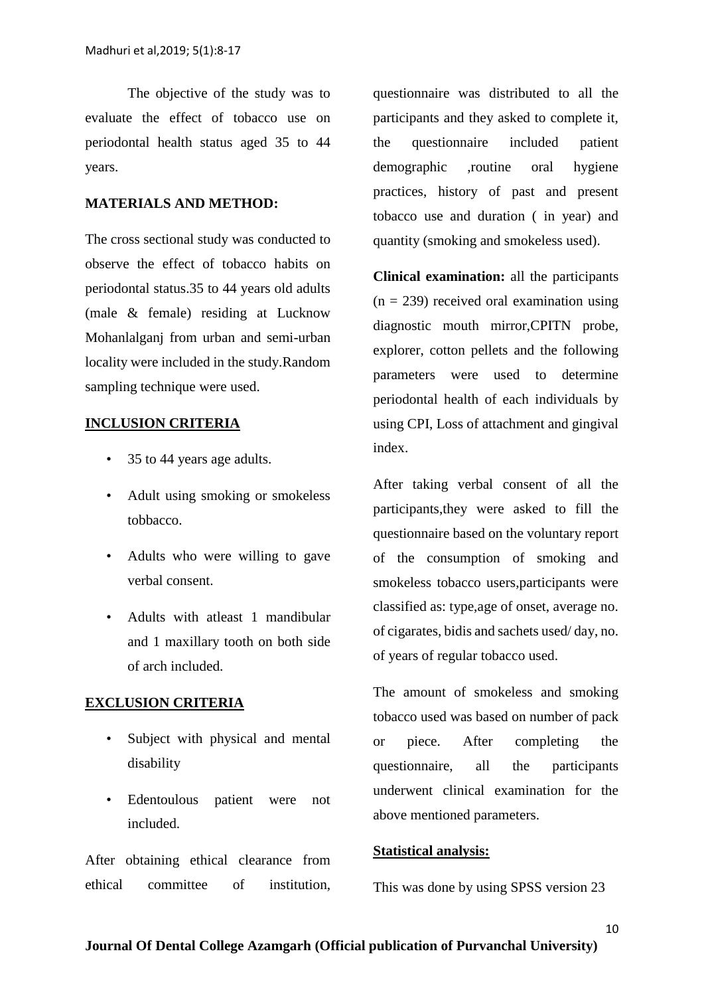The objective of the study was to evaluate the effect of tobacco use on periodontal health status aged 35 to 44 years.

#### **MATERIALS AND METHOD:**

The cross sectional study was conducted to observe the effect of tobacco habits on periodontal status.35 to 44 years old adults (male & female) residing at Lucknow Mohanlalganj from urban and semi-urban locality were included in the study.Random sampling technique were used.

### **INCLUSION CRITERIA**

- 35 to 44 years age adults.
- Adult using smoking or smokeless tobbacco.
- Adults who were willing to gave verbal consent.
- Adults with atleast 1 mandibular and 1 maxillary tooth on both side of arch included.

#### **EXCLUSION CRITERIA**

- Subject with physical and mental disability
- Edentoulous patient were not included.

After obtaining ethical clearance from ethical committee of institution,

questionnaire was distributed to all the participants and they asked to complete it, the questionnaire included patient demographic ,routine oral hygiene practices, history of past and present tobacco use and duration ( in year) and quantity (smoking and smokeless used).

**Clinical examination:** all the participants  $(n = 239)$  received oral examination using diagnostic mouth mirror,CPITN probe, explorer, cotton pellets and the following parameters were used to determine periodontal health of each individuals by using CPI, Loss of attachment and gingival index.

After taking verbal consent of all the participants,they were asked to fill the questionnaire based on the voluntary report of the consumption of smoking and smokeless tobacco users,participants were classified as: type,age of onset, average no. of cigarates, bidis and sachets used/ day, no. of years of regular tobacco used.

The amount of smokeless and smoking tobacco used was based on number of pack or piece. After completing the questionnaire, all the participants underwent clinical examination for the above mentioned parameters.

#### **Statistical analysis:**

This was done by using SPSS version 23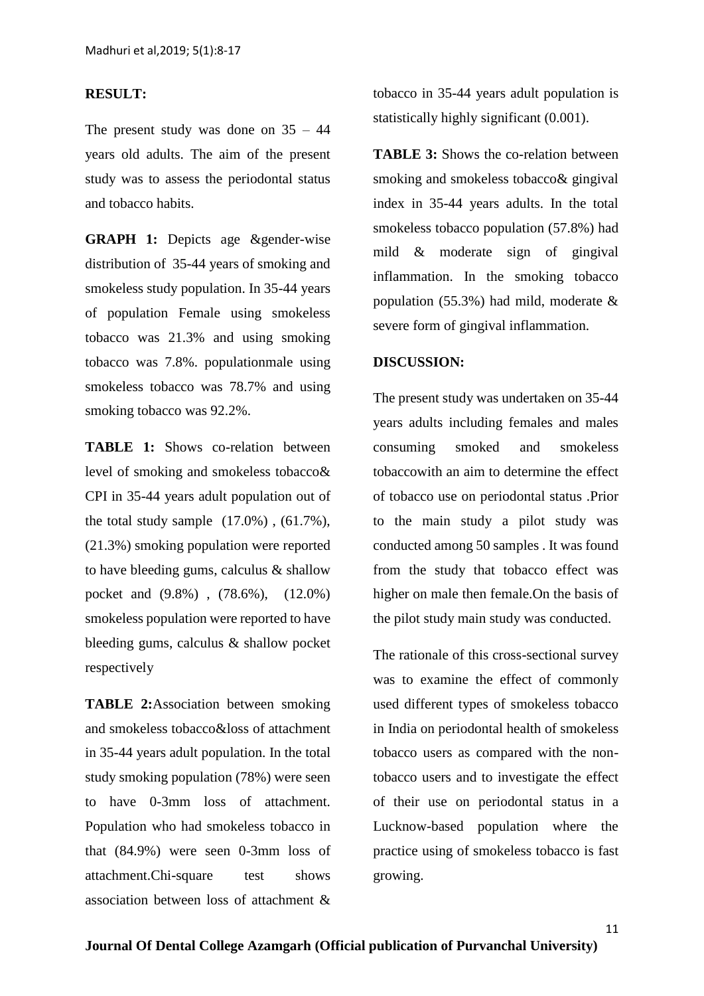#### **RESULT:**

The present study was done on  $35 - 44$ years old adults. The aim of the present study was to assess the periodontal status and tobacco habits.

**GRAPH 1:** Depicts age &gender-wise distribution of 35-44 years of smoking and smokeless study population. In 35-44 years of population Female using smokeless tobacco was 21.3% and using smoking tobacco was 7.8%. populationmale using smokeless tobacco was 78.7% and using smoking tobacco was 92.2%.

**TABLE 1:** Shows co-relation between level of smoking and smokeless tobacco& CPI in 35-44 years adult population out of the total study sample  $(17.0\%)$ ,  $(61.7\%)$ , (21.3%) smoking population were reported to have bleeding gums, calculus & shallow pocket and (9.8%) , (78.6%), (12.0%) smokeless population were reported to have bleeding gums, calculus & shallow pocket respectively

**TABLE 2:**Association between smoking and smokeless tobacco&loss of attachment in 35-44 years adult population. In the total study smoking population (78%) were seen to have 0-3mm loss of attachment. Population who had smokeless tobacco in that (84.9%) were seen 0-3mm loss of attachment.Chi-square test shows association between loss of attachment &

tobacco in 35-44 years adult population is statistically highly significant (0.001).

**TABLE 3:** Shows the co-relation between smoking and smokeless tobacco& gingival index in 35-44 years adults. In the total smokeless tobacco population (57.8%) had mild & moderate sign of gingival inflammation. In the smoking tobacco population (55.3%) had mild, moderate & severe form of gingival inflammation.

#### **DISCUSSION:**

The present study was undertaken on 35-44 years adults including females and males consuming smoked and smokeless tobaccowith an aim to determine the effect of tobacco use on periodontal status .Prior to the main study a pilot study was conducted among 50 samples . It was found from the study that tobacco effect was higher on male then female.On the basis of the pilot study main study was conducted.

The rationale of this cross-sectional survey was to examine the effect of commonly used different types of smokeless tobacco in India on periodontal health of smokeless tobacco users as compared with the nontobacco users and to investigate the effect of their use on periodontal status in a Lucknow-based population where the practice using of smokeless tobacco is fast growing.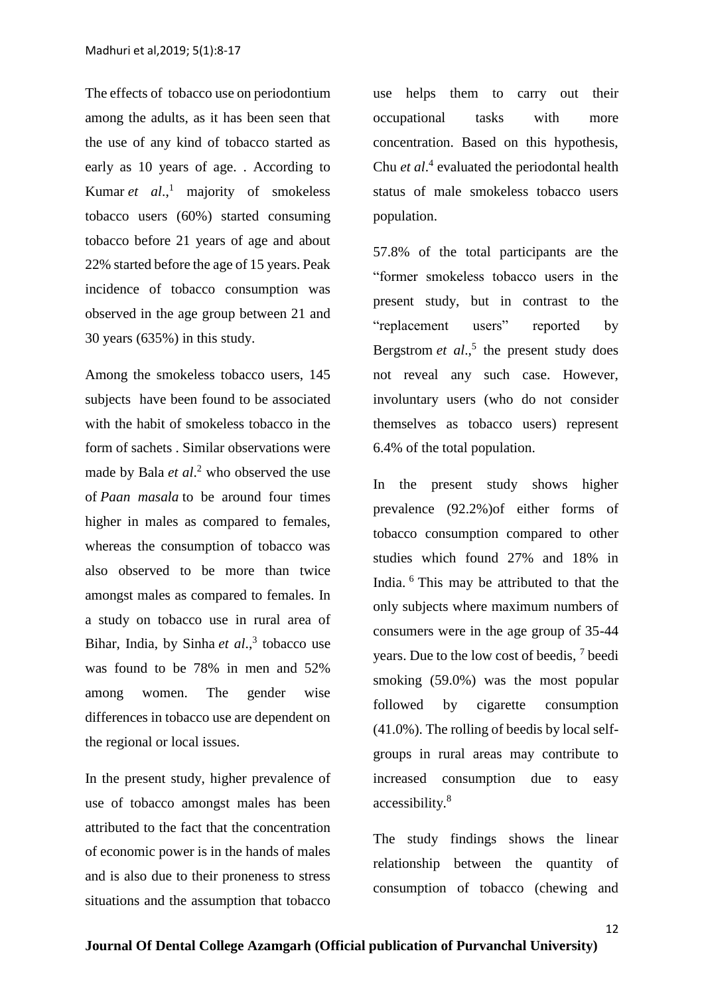The effects of tobacco use on periodontium among the adults, as it has been seen that the use of any kind of tobacco started as early as 10 years of age. . According to Kumar *et al*., <sup>1</sup> majority of smokeless tobacco users (60%) started consuming tobacco before 21 years of age and about 22% started before the age of 15 years. Peak incidence of tobacco consumption was observed in the age group between 21 and 30 years (635%) in this study.

Among the smokeless tobacco users, 145 subjects have been found to be associated with the habit of smokeless tobacco in the form of sachets . Similar observations were made by Bala *et al*[.](https://www.ncbi.nlm.nih.gov/pmc/articles/PMC3221089/#ref12) <sup>2</sup> who observed the use of *Paan masala* to be around four times higher in males as compared to females, whereas the consumption of tobacco was also observed to be more than twice amongst males as compared to females. In a study on tobacco use in rural area of Bihar, India, by Sinha *et al*., [3](https://www.ncbi.nlm.nih.gov/pmc/articles/PMC3221089/#ref13) tobacco use was found to be 78% in men and 52% among women. The gender wise differences in tobacco use are dependent on the regional or local issues.

In the present study, higher prevalence of use of tobacco amongst males has been attributed to the fact that the concentration of economic power is in the hands of males and is also due to their proneness to stress situations and the assumption that tobacco

use helps them to carry out their occupational tasks with more concentration. Based on this hypothesis, Chu *et al*[.](https://www.ncbi.nlm.nih.gov/pmc/articles/PMC3221089/#ref14) 4 evaluated the periodontal health status of male smokeless tobacco users population.

57.8% of the total participants are the "former smokeless tobacco users in the present study, but in contrast to the "replacement users" reported by Bergstrom  $et$   $al$ ,<sup>5</sup> the present study does not reveal any such case. However, involuntary users (who do not consider themselves as tobacco users) represent 6.4% of the total population.

In the present study shows higher prevalence (92.2%)of either forms of tobacco consumption compared to other studies which found 27% and 18% in India. <sup>6</sup> This may be attributed to that the only subjects where maximum numbers of consumers were in the age group of 35-44 years. Due to the low cost of beedis, <sup>7</sup> beedi smoking (59.0%) was the most popular followed by cigarette consumption (41.0%). The rolling of beedis by local selfgroups in rural areas may contribute to increased consumption due to easy accessibility.<sup>8</sup>

The study findings shows the linear relationship between the quantity of consumption of tobacco (chewing and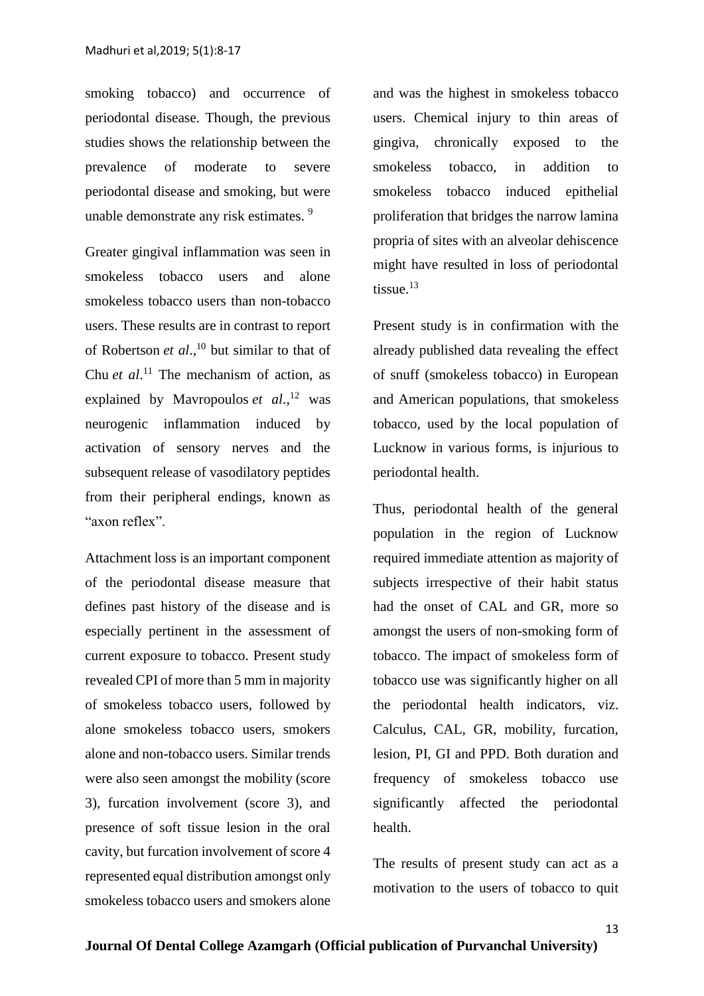smoking tobacco) and occurrence of periodontal disease. Though, the previous studies shows the relationship between the prevalence of moderate to severe periodontal disease and smoking, but were unable demonstrate any risk estimates. <sup>9</sup>

Greater gingival inflammation was seen in smokeless tobacco users and alone smokeless tobacco users than non-tobacco users. These results are in contrast to report of Robertson *et al*., <sup>10</sup> but similar to that of Chu *et al.*<sup>11</sup> The mechanism of action, as explained by Mavropoulos *et al*., <sup>12</sup> was neurogenic inflammation induced by activation of sensory nerves and the subsequent release of vasodilatory peptides from their peripheral endings, known as "axon reflex".

Attachment loss is an important component of the periodontal disease measure that defines past history of the disease and is especially pertinent in the assessment of current exposure to tobacco. Present study revealed CPI of more than 5 mm in majority of smokeless tobacco users, followed by alone smokeless tobacco users, smokers alone and non-tobacco users. Similar trends were also seen amongst the mobility (score 3), furcation involvement (score 3), and presence of soft tissue lesion in the oral cavity, but furcation involvement of score 4 represented equal distribution amongst only smokeless tobacco users and smokers alone

and was the highest in smokeless tobacco users. Chemical injury to thin areas of gingiva, chronically exposed to the smokeless tobacco, in addition to smokeless tobacco induced epithelial proliferation that bridges the narrow lamina propria of sites with an alveolar dehiscence might have resulted in loss of periodontal tissue. $13$ 

Present study is in confirmation with the already published data revealing the effect of snuff (smokeless tobacco) in European and American populations, that smokeless tobacco, used by the local population of Lucknow in various forms, is injurious to periodontal health.

Thus, periodontal health of the general population in the region of Lucknow required immediate attention as majority of subjects irrespective of their habit status had the onset of CAL and GR, more so amongst the users of non-smoking form of tobacco. The impact of smokeless form of tobacco use was significantly higher on all the periodontal health indicators, viz. Calculus, CAL, GR, mobility, furcation, lesion, PI, GI and PPD. Both duration and frequency of smokeless tobacco use significantly affected the periodontal health.

The results of present study can act as a motivation to the users of tobacco to quit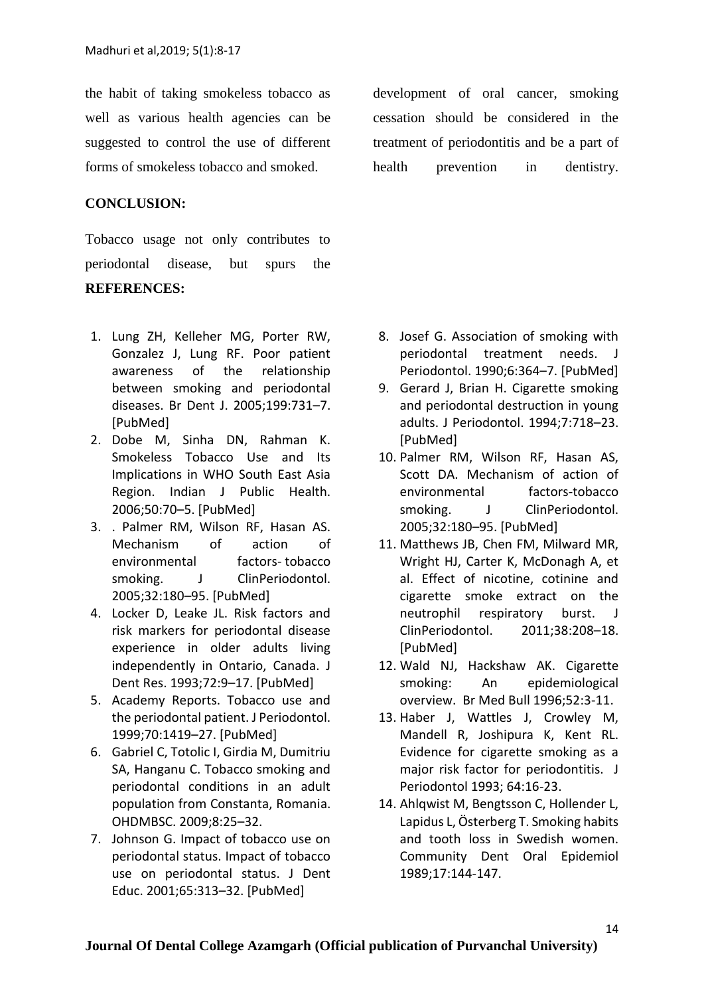the habit of taking smokeless tobacco as well as various health agencies can be suggested to control the use of different forms of smokeless tobacco and smoked.

## **CONCLUSION:**

Tobacco usage not only contributes to periodontal disease, but spurs the

#### **REFERENCES:**

- 1. Lung ZH, Kelleher MG, Porter RW, Gonzalez J, Lung RF. Poor patient awareness of the relationship between smoking and periodontal diseases. Br Dent J. 2005;199:731–7. [PubMed]
- 2. Dobe M, Sinha DN, Rahman K. Smokeless Tobacco Use and Its Implications in WHO South East Asia Region. Indian J Public Health. 2006;50:70–5. [PubMed]
- 3. . Palmer RM, Wilson RF, Hasan AS. Mechanism of action of environmental factors- tobacco smoking. J ClinPeriodontol. 2005;32:180–95. [PubMed]
- 4. Locker D, Leake JL. Risk factors and risk markers for periodontal disease experience in older adults living independently in Ontario, Canada. J Dent Res. 1993;72:9–17. [PubMed]
- 5. Academy Reports. Tobacco use and the periodontal patient. J Periodontol. 1999;70:1419–27. [PubMed]
- 6. Gabriel C, Totolic I, Girdia M, Dumitriu SA, Hanganu C. Tobacco smoking and periodontal conditions in an adult population from Constanta, Romania. OHDMBSC. 2009;8:25–32.
- 7. Johnson G. Impact of tobacco use on periodontal status. Impact of tobacco use on periodontal status. J Dent Educ. 2001;65:313–32. [PubMed]

development of oral cancer, smoking cessation should be considered in the treatment of periodontitis and be a part of health prevention in dentistry.

- 8. Josef G. Association of smoking with periodontal treatment needs. J Periodontol. 1990;6:364–7. [PubMed]
- 9. Gerard J, Brian H. Cigarette smoking and periodontal destruction in young adults. J Periodontol. 1994;7:718–23. [PubMed]
- 10. Palmer RM, Wilson RF, Hasan AS, Scott DA. Mechanism of action of environmental factors-tobacco smoking. J ClinPeriodontol. 2005;32:180–95. [PubMed]
- 11. Matthews JB, Chen FM, Milward MR, Wright HJ, Carter K, McDonagh A, et al. Effect of nicotine, cotinine and cigarette smoke extract on the neutrophil respiratory burst. J ClinPeriodontol. 2011;38:208–18. [PubMed]
- 12. Wald NJ, Hackshaw AK. Cigarette smoking: An epidemiological overview. Br Med Bull 1996;52:3-11.
- 13. Haber J, Wattles J, Crowley M, Mandell R, Joshipura K, Kent RL. Evidence for cigarette smoking as a major risk factor for periodontitis. J Periodontol 1993; 64:16-23.
- 14. Ahlqwist M, Bengtsson C, Hollender L, Lapidus L, Österberg T. Smoking habits and tooth loss in Swedish women. Community Dent Oral Epidemiol 1989;17:144-147.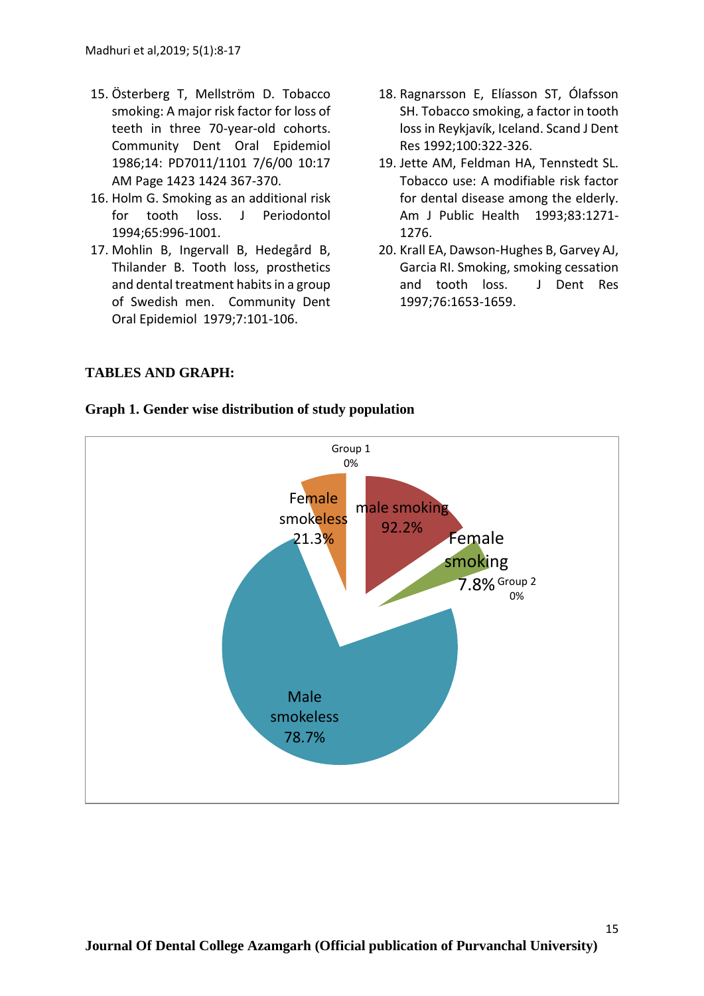- 15. Österberg T, Mellström D. Tobacco smoking: A major risk factor for loss of teeth in three 70-year-old cohorts. Community Dent Oral Epidemiol 1986;14: PD7011/1101 7/6/00 10:17 AM Page 1423 1424 367-370.
- 16. Holm G. Smoking as an additional risk for tooth loss. J Periodontol 1994;65:996-1001.
- 17. Mohlin B, Ingervall B, Hedegård B, Thilander B. Tooth loss, prosthetics and dental treatment habits in a group of Swedish men. Community Dent Oral Epidemiol 1979;7:101-106.
- 18. Ragnarsson E, Elíasson ST, Ólafsson SH. Tobacco smoking, a factor in tooth loss in Reykjavík, Iceland. Scand J Dent Res 1992;100:322-326.
- 19. Jette AM, Feldman HA, Tennstedt SL. Tobacco use: A modifiable risk factor for dental disease among the elderly. Am J Public Health 1993;83:1271- 1276.
- 20. Krall EA, Dawson-Hughes B, Garvey AJ, Garcia RI. Smoking, smoking cessation and tooth loss. J Dent Res 1997;76:1653-1659.

## **TABLES AND GRAPH:**

## **Graph 1. Gender wise distribution of study population**

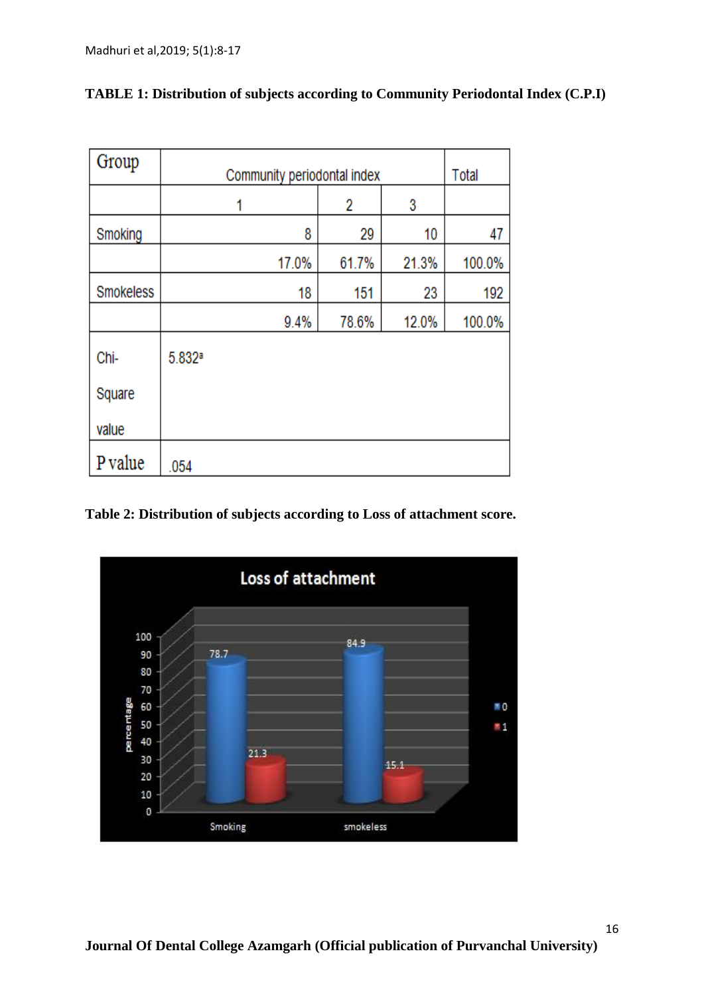| Group            | Community periodontal index |       |       |       | Total  |
|------------------|-----------------------------|-------|-------|-------|--------|
|                  |                             |       | 2     | 3     |        |
| Smoking          |                             | 8     | 29    | 10    | 47     |
|                  |                             | 17.0% | 61.7% | 21.3% | 100.0% |
| <b>Smokeless</b> |                             | 18    | 151   | 23    | 192    |
|                  |                             | 9.4%  | 78.6% | 12.0% | 100.0% |
| Chi-             | 5.832ª                      |       |       |       |        |
| Square           |                             |       |       |       |        |
| value            |                             |       |       |       |        |
| P value          | .054                        |       |       |       |        |

# **TABLE 1: Distribution of subjects according to Community Periodontal Index (C.P.I)**

**Table 2: Distribution of subjects according to Loss of attachment score.**